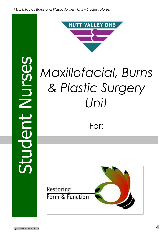Student Nurses**NUISE** tuder



# *Maxillofacial, Burns & Plastic Surgery Unit*

# For:

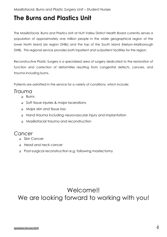### **The Burns and Plastics Unit**

The Maxillofacial, Burns and Plastics Unit at Hutt Valley District Health Board currently serves a population of approximately one million people in the wider geographical region of the lower North Island (six region DHBs) and the top of the South Island (Nelson-Marlborough DHB). This regional service provides both inpatient and outpatient facilities for the region.

Reconstructive Plastic Surgery is a specialized area of surgery dedicated to the restoration of function and correction of deformities resulting from congenital defects, cancers, and trauma including burns.

Patients are admitted in the service for a variety of conditions, which include:

### *Trauma*

- **D** Burns
- Soft tissue injuries & major lacerations
- Major skin and tissue loss
- Hand trauma including neurovascular injury and implantation
- Maxillofacial trauma and reconstruction

### *Cancer*

- □ Skin Cancer
- Head and neck cancer
- Post-surgical reconstruction e.g. following mastectomy

### Welcome!! We are looking forward to working with you!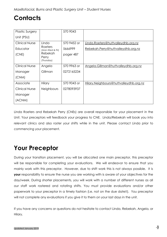# **Contacts**

| <b>Plastic Surgery</b> |                 | 570 9043    |                                        |
|------------------------|-----------------|-------------|----------------------------------------|
| Unit (PSU)             |                 |             |                                        |
|                        |                 |             |                                        |
| <b>Clinical Nurse</b>  | Linda           | 570 9452 or | Linda.Roeters@huttvalleydhb.org.nz     |
| Educator               | Roeters         | 5666999     |                                        |
|                        | (Mon-Wed & Fri) |             | Rebekah.Perry@huttvalleydhb.org.nz     |
| (CNE)                  | <b>Rebekah</b>  | pager 487   |                                        |
|                        | Perry           |             |                                        |
|                        | (Thursday)      |             |                                        |
| <b>Clinical Nurse</b>  | Angela          | 570 9963 or | Angela.Gillman@huttvalleydhb.org.nz    |
|                        |                 |             |                                        |
| Manager                | Gillman         | 0272165234  |                                        |
| (CNM)                  |                 |             |                                        |
|                        |                 |             |                                        |
| Associate              | Hilary          | 570 9043 or | Hilary.Neighbours@huttvalleydhb.org.nz |
| <b>Clinical Nurse</b>  | Neighbours      | 0278093937  |                                        |
|                        |                 |             |                                        |
| Manager                |                 |             |                                        |
| (ACNM)                 |                 |             |                                        |
|                        |                 |             |                                        |

Linda Roeters and Rebekah Perry (CNEs) are overall responsible for your placement in the Unit. Your preceptors will feedback your progress to CNE. Linda/Rebekah will book you into relevant clinics and also roster your shifts while in the unit. Please contact Linda prior to commencing your placement.

# **Your Preceptor**

During your transition placement, you will be allocated one main preceptor, this preceptor will be responsible for completing your evaluations. We will endeavor to ensure that you mainly work with this preceptor. However, due to shift work this is not always possible. It is **your** responsibility to ensure the nurse you are working with is aware of your objectives for the day/week. During shorter placements, you will work with a number of different nurses as all our staff work rostered and rotating shifts. You must provide evaluations and/or other paperwork to your preceptor in a timely fashion (i.e. not on the due date!!). You preceptor will not complete any evaluations if you give it to them on your last days in the unit.

If you have any concerns or questions do not hesitate to contact Linda, Rebekah, Angela, or Hilary.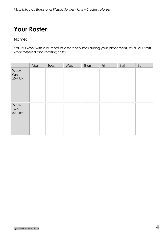# **Your Roster**

Name:

You will work with a number of different nurses during your placement, as all our staff work rostered and rotating shifts.

|                          | Mon | Tues | Wed | Thurs | Fri | Sat | Sun |
|--------------------------|-----|------|-----|-------|-----|-----|-----|
| Week<br>One<br>22nd July |     |      |     |       |     |     |     |
| Week<br>Two<br>29th July |     |      |     |       |     |     |     |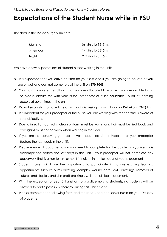*Maxillofacial, Burns and Plastic Surgery Unit - Student Nurses* 

### **Expectations of the Student Nurse while in PSU**

The shifts in the Plastic Surgery Unit are:

| Morning   | ٠ | 0645hrs to 1515hrs |
|-----------|---|--------------------|
| Afternoon |   | 1445hrs to 2315hrs |
| Night     |   | 2245hrs to 0715hrs |

We have a few expectations of student nurses working in the unit:

- $\cdot \cdot$  It is expected that you arrive on time for your shift and if you are going to be late or you are unwell and can not come to call the unit on **570 9043.**
- \* You must complete the full shift that you are allocated to work if you are unable to do so please discuss this with your nurse, preceptor or nurse educator. A lot of learning occurs at quiet times in the unit!!
- ◆ Do not swap shifts or take time off without discussing this with Linda or Rebekah (CNE) first.
- $\cdot \cdot$  It is important for your preceptor or the nurse you are working with that he/she is aware of your objectives.
- \* Due to infection control a clean uniform must be worn, long hair must be tied back and cardigans must not be worn when working in the floor.
- If you are not achieving your objectives please see Linda, Rebekah or your preceptor (before the last week in the unit).
- Please ensure all documentation you need to complete for the polytechnic/university is accomplished before the last days in the unit – your preceptor will **not** complete any paperwork that is given to him or her if it is given in the last days of your placement
- \* Student nurses will have the opportunity to participate in various exciting learning opportunities such as burns dressing, complex wound care, VAC dressings, removal of sutures and staples, and skin graft dressings, while on clinical placement.
- With the exception of year 3 transition to practice nursing students, no students will be allowed to participate in IV therapy during this placement.
- \* Please complete the following form and return to Linda or a senior nurse on your first day of placement.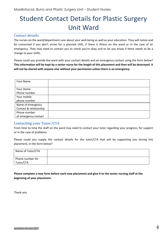# Student Contact Details for Plastic Surgery Unit Ward

#### **Contact details**

The nurses on the ward/department care about your well-being as well as your education. They will notice and be concerned if you don't arrive for a planned shift, if there is illness on the ward or in the case of an emergency. They may need to contact you to check you're okay and to let you know if there needs to be a change to your shifts.

Please could you provide the ward with your contact details and an emergency contact using the form below? **This information will be kept by a senior nurse for the length of this placement and then will be destroyed. It will not be shared with anyone else without your permission unless there is an emergency.**

| Your Name              |  |
|------------------------|--|
|                        |  |
| Your Home              |  |
| Phone number           |  |
| Your mobile            |  |
| phone number           |  |
| Name of emergency      |  |
| Contact & relationship |  |
| Phone number           |  |
| of emergency contact   |  |

#### **Contacting your Tutor/CTA**

From time to time the staff on the ward may need to contact your tutor regarding your progress, for support or in the case of problems.

Please could you supply the contact details for the tutor/CTA that will be supporting you during this placement, in the form below?

| Name of Tutor/CTA             |  |
|-------------------------------|--|
| Phone number for<br>Tutor/CTA |  |

**Please complete a new form before each new placement and give it to the senior nursing staff at the beginning of your placement.**

Thank you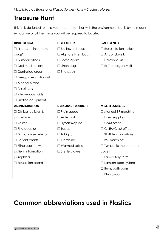# **Treasure Hunt**

This list is designed to help you become familiar with the environment, but is by no means exhaustive of all the things you will be required to locate.

| <b>DRUG ROOM</b>                | <b>DIRTY UTILITY</b>       | <b>EMERGENCY</b>             |
|---------------------------------|----------------------------|------------------------------|
| $\Box$ "Notes on injectable     | $\Box$ Bio hazard bags     | $\Box$ Resuscitation trolley |
| drugs"                          | $\Box$ Alginate linen bags | $\Box$ Anaphylaxis kit       |
| $\Box$ IV medications           | $\square$ Bottles/pans     | □ Naloxone kit               |
| $\Box$ Oral medications         | $\Box$ Linen bags          | $\Box$ ENT emergency kit     |
| $\Box$ Controlled drugs         | $\Box$ Sharps bin          |                              |
| $\Box$ Pre-op medication list   |                            |                              |
| $\Box$ Alcohol swabs            |                            |                              |
| $\Box$ IV syringes              |                            |                              |
| $\Box$ Intravenous fluids       |                            |                              |
| $\Box$ Suction equipment        |                            |                              |
| <b>ADMINISTRATION</b>           | <b>DRESSING PRODUCTS</b>   | <b>MISCELLANEOUS</b>         |
| $\Box$ Clinical policies &      | $\Box$ Plain gauze         | $\Box$ Manual BP machine     |
| procedure                       | $\Box$ Acti-coat           | $\Box$ Linen supplies        |
| $\Box$ Roster                   | $\Box$ Hypafix/opsite      | $\Box$ CNM office            |
| $\Box$ Photocopier              | $\Box$ Tapes               | □ CNE/ACNM office            |
| $\Box$ District nurse referrals | $\Box$ Tubigrip            | $\Box$ Staff tea room/toilet |
| $\Box$ Patient charts           | $\Box$ Combine             | $\Box$ BSL machines          |
| $\Box$ Filing cabinet with      | $\Box$ Warmed saline       | $\Box$ Tympanic thermometer  |
| patient information             | $\Box$ Sterile gloves      | covers                       |
| pamphlets                       |                            | $\Box$ Laboratory forms      |
| $\Box$ Education board          |                            | $\Box$ Lamson Tube system    |
|                                 |                            | $\Box$ Burns bathroom        |
|                                 |                            | $\Box$ Physio room           |

# **Common abbreviations used in Plastics**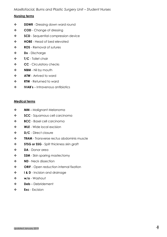#### *Nursing terms*

- $\div$  **DDWR** Dressing down ward round
- **COD** Change of dressing
- **SCD** Sequential compression device
- **HOBE** Head of bed elevated
- **ROS** Removal of sutures
- **Dx** Discharge
- **T/C** Toilet chair
- **CC** Circulatory checks
- **❖ NBM** Nil by mouth
- **❖ ATW** Arrived to ward
- **RTW**  Returned to ward
- **IVAB's**  Intravenous antibiotics

#### *Medical terms*

- **MM -** Malignant Melanoma
- $\div$  **SCC** Squamous cell carcinoma
- **BCC** Basel cell carcinoma
- **WLE** Wide local excision
- **D/C** Direct closure
- **\*** TRAM Transverse rectus abdominis muscle
- **STSG or SSG** Split thickness skin graft
- **DA** Donor area
- **SSM** Skin sparing mastectomy
- **ND** Neck dissection
- ◆ **ORIF** Open reduction internal fixation
- $\bullet$  **I & D** Incision and drainage
- **w/o** Washout
- **Deb** Debridement
- **Exc**  Excision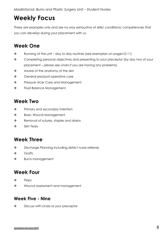# **Weekly Focus**

These are examples only and are no way exhaustive of skills/ conditions/ competencies that you can develop during your placement with us.

### **Week One**

- $\cdot \cdot$  Running of the unit day to day routines (see exemplars on pages 10-11)
- \* Completing personal objectives and presenting to your preceptor (by day two of your placement – please see Linda if you are having any problems)
- Aware of the anatomy of the skin
- General pre/post-operative care
- \* Pressure Ulcer Care and Management
- \* Fluid Balance Management

### **Week Two**

- ◆ Primary and secondary intention
- ❖ Basic Wound Management
- \* Removal of sutures, staples and drains
- $\cdot$  Skin Tears

### **Week Three**

- ◆ Discharge Planning including district nurse referrals
- ❖ Grafts
- **\*** Burns management

### **Week Four**

- $\triangle$  Flaps
- Wound assessment and management

### **Week Five - Nine**

◆ Discuss with Linda or your preceptor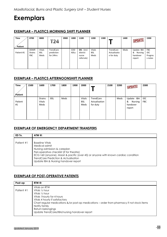### **Exemplars**

#### **EXEMPLAR – PLASTICS MORNING SHIFT PLANNER**

| <b>Time</b><br>Patient | 0700                                       | 0800                         | 4                                    | 0900 | 1000                      | 1100                                          | 1200                         | 1300 |                                         | 1400 | <b>UPDATE</b>                                    | 1500                                    |
|------------------------|--------------------------------------------|------------------------------|--------------------------------------|------|---------------------------|-----------------------------------------------|------------------------------|------|-----------------------------------------|------|--------------------------------------------------|-----------------------------------------|
| Patient #1             | <b>DDWR</b><br><b>Drains</b><br><b>FBC</b> | Vitals<br><b>BSL</b><br>Meds | TrendCare<br>prediction<br>for 24hrs |      | <b>COD</b><br><b>ADLs</b> | DX. (incl.<br>district<br>nurse<br>referrals) | Vitals<br><b>BSL</b><br>Meds |      | TrendCare<br>Actualisatio<br>n for duty | Meds | Update IBA<br>&<br>Nursing<br>handover<br>report | <b>FBC</b><br>IDC<br>Progres<br>s notes |

#### **EXEMPLAR – PLASTICS AFTERNOONSHIFT PLANNER**

| <b>Time</b><br>Patient | 1500 | 1600                     | 1700       | 1800 | 1900 | 2000                                |                                        | 2100 | 2200 | <b>UPDATE</b>                                    | 2300              |
|------------------------|------|--------------------------|------------|------|------|-------------------------------------|----------------------------------------|------|------|--------------------------------------------------|-------------------|
| Patient<br>#1          |      | Drains<br>Vitals<br>Meds | <b>BSL</b> | Meds |      | <b>Vitals</b><br><b>BSL</b><br>Meds | TrendCare<br>Actualisation<br>for duty |      | Meds | Update IBA<br>&<br>Nursing<br>handover<br>report | IDC<br><b>FBC</b> |

#### **EXEMPLAR OF EMERGENCY DEPARTMENT TRANSFERS**

| ED Tx.     | ATW @:                                                                                                                                                                                                                                                                                                |
|------------|-------------------------------------------------------------------------------------------------------------------------------------------------------------------------------------------------------------------------------------------------------------------------------------------------------|
| Patient #1 | <b>Baseline Vitals</b><br>Medical admit<br>Nursing admission & careplan<br>Peri-operative checklist (if for theatre)<br>ECG >60 (anyone), Maori & pacific (over 45) or anyone with known cardiac condition<br><b>TrendCare Prediction &amp; Actualisation</b><br>Update IBA & Nursing handover report |

#### **EXEMPLAR OF POST-OPERATIVE PATIENTS**

| Post-op    | RTW $@:$                                                                                                                                                                                                                                                                                                   |
|------------|------------------------------------------------------------------------------------------------------------------------------------------------------------------------------------------------------------------------------------------------------------------------------------------------------------|
| Patient #1 | Vitals on RTW<br>Vitals 1/2 hour<br>Vitals 1/2 hour<br>Vitals 1 hourly for 4 hours<br>Vitals 4 hourly if satisfactory<br>Chart regular medications &/or post-op medications – order from pharmacy if not stock items<br>Notify family<br>Return belongings<br>Update TrendCare/IBA/nursing handover report |